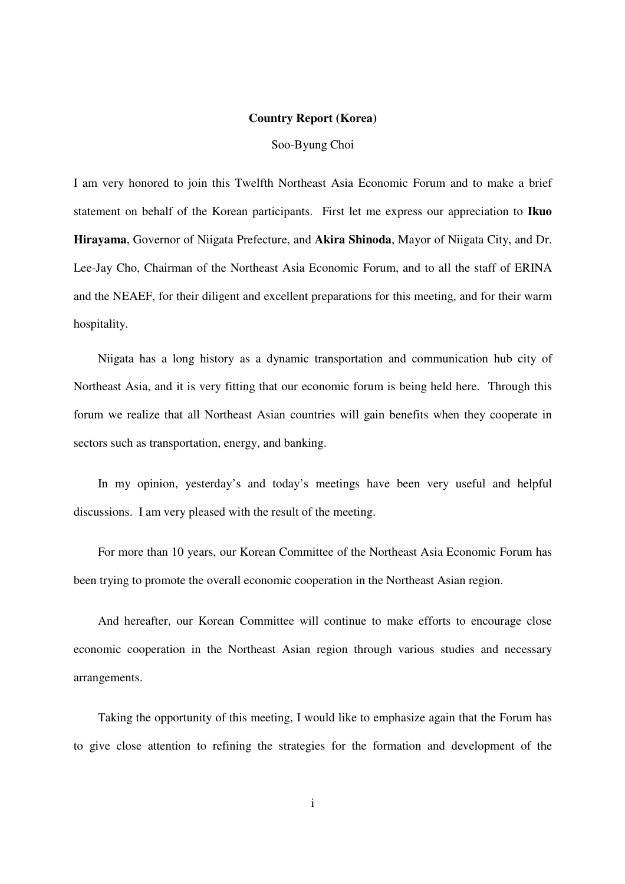## **Country Report (Korea)**

Soo-Byung Choi

I am very honored to join this Twelfth Northeast Asia Economic Forum and to make a brief statement on behalf of the Korean participants. First let me express our appreciation to **Ikuo Hirayama**, Governor of Niigata Prefecture, and **Akira Shinoda**, Mayor of Niigata City, and Dr. Lee-Jay Cho, Chairman of the Northeast Asia Economic Forum, and to all the staff of ERINA and the NEAEF, for their diligent and excellent preparations for this meeting, and for their warm hospitality.

Niigata has a long history as a dynamic transportation and communication hub city of Northeast Asia, and it is very fitting that our economic forum is being held here. Through this forum we realize that all Northeast Asian countries will gain benefits when they cooperate in sectors such as transportation, energy, and banking.

In my opinion, yesterday's and today's meetings have been very useful and helpful discussions. I am very pleased with the result of the meeting.

For more than 10 years, our Korean Committee of the Northeast Asia Economic Forum has been trying to promote the overall economic cooperation in the Northeast Asian region.

And hereafter, our Korean Committee will continue to make efforts to encourage close economic cooperation in the Northeast Asian region through various studies and necessary arrangements.

Taking the opportunity of this meeting, I would like to emphasize again that the Forum has to give close attention to refining the strategies for the formation and development of the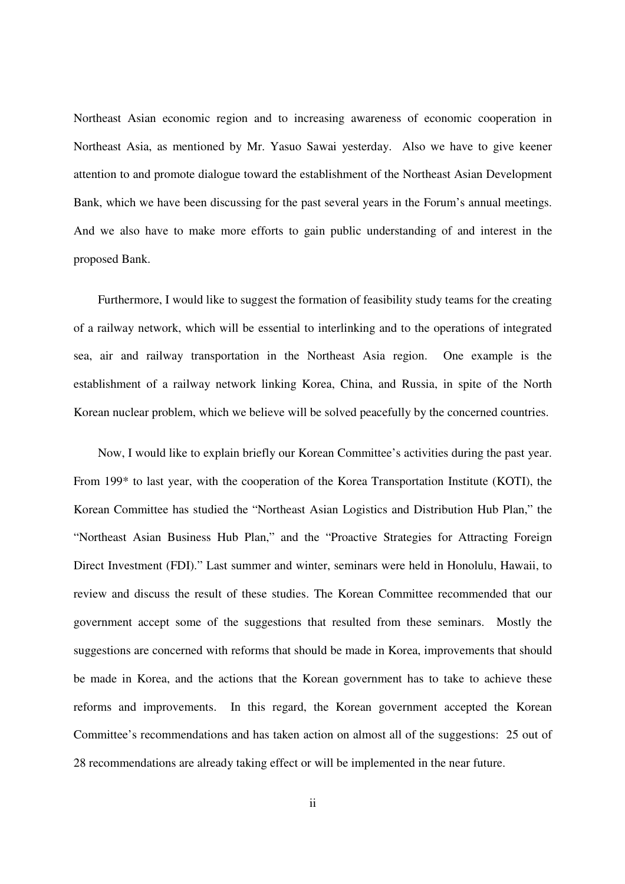Northeast Asian economic region and to increasing awareness of economic cooperation in Northeast Asia, as mentioned by Mr. Yasuo Sawai yesterday. Also we have to give keener attention to and promote dialogue toward the establishment of the Northeast Asian Development Bank, which we have been discussing for the past several years in the Forum's annual meetings. And we also have to make more efforts to gain public understanding of and interest in the proposed Bank.

Furthermore, I would like to suggest the formation of feasibility study teams for the creating of a railway network, which will be essential to interlinking and to the operations of integrated sea, air and railway transportation in the Northeast Asia region. One example is the establishment of a railway network linking Korea, China, and Russia, in spite of the North Korean nuclear problem, which we believe will be solved peacefully by the concerned countries.

Now, I would like to explain briefly our Korean Committee's activities during the past year. From 199\* to last year, with the cooperation of the Korea Transportation Institute (KOTI), the Korean Committee has studied the "Northeast Asian Logistics and Distribution Hub Plan," the "Northeast Asian Business Hub Plan," and the "Proactive Strategies for Attracting Foreign Direct Investment (FDI)." Last summer and winter, seminars were held in Honolulu, Hawaii, to review and discuss the result of these studies. The Korean Committee recommended that our government accept some of the suggestions that resulted from these seminars. Mostly the suggestions are concerned with reforms that should be made in Korea, improvements that should be made in Korea, and the actions that the Korean government has to take to achieve these reforms and improvements. In this regard, the Korean government accepted the Korean Committee's recommendations and has taken action on almost all of the suggestions: 25 out of 28 recommendations are already taking effect or will be implemented in the near future.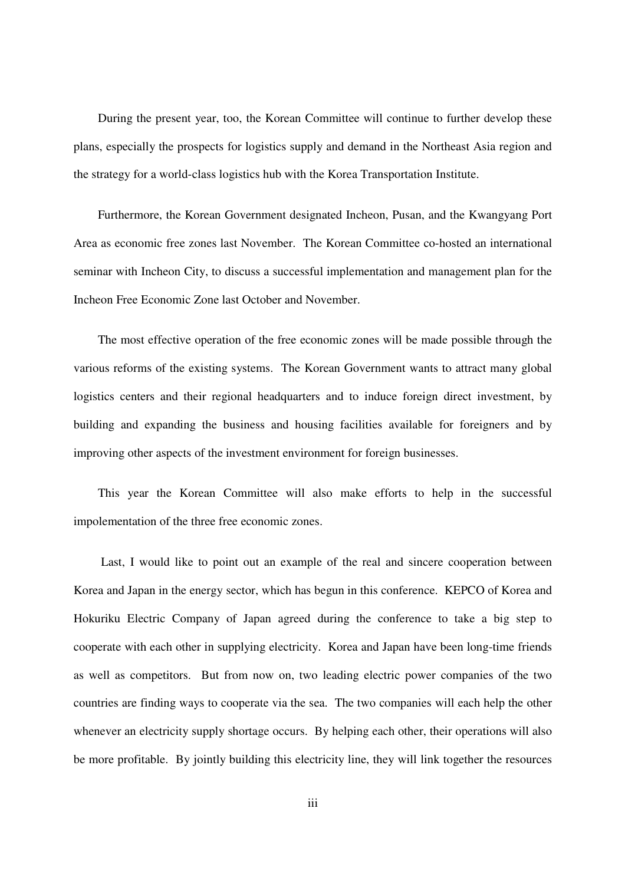During the present year, too, the Korean Committee will continue to further develop these plans, especially the prospects for logistics supply and demand in the Northeast Asia region and the strategy for a world-class logistics hub with the Korea Transportation Institute.

Furthermore, the Korean Government designated Incheon, Pusan, and the Kwangyang Port Area as economic free zones last November. The Korean Committee co-hosted an international seminar with Incheon City, to discuss a successful implementation and management plan for the Incheon Free Economic Zone last October and November.

The most effective operation of the free economic zones will be made possible through the various reforms of the existing systems. The Korean Government wants to attract many global logistics centers and their regional headquarters and to induce foreign direct investment, by building and expanding the business and housing facilities available for foreigners and by improving other aspects of the investment environment for foreign businesses.

This year the Korean Committee will also make efforts to help in the successful impolementation of the three free economic zones.

 Last, I would like to point out an example of the real and sincere cooperation between Korea and Japan in the energy sector, which has begun in this conference. KEPCO of Korea and Hokuriku Electric Company of Japan agreed during the conference to take a big step to cooperate with each other in supplying electricity. Korea and Japan have been long-time friends as well as competitors. But from now on, two leading electric power companies of the two countries are finding ways to cooperate via the sea. The two companies will each help the other whenever an electricity supply shortage occurs. By helping each other, their operations will also be more profitable. By jointly building this electricity line, they will link together the resources